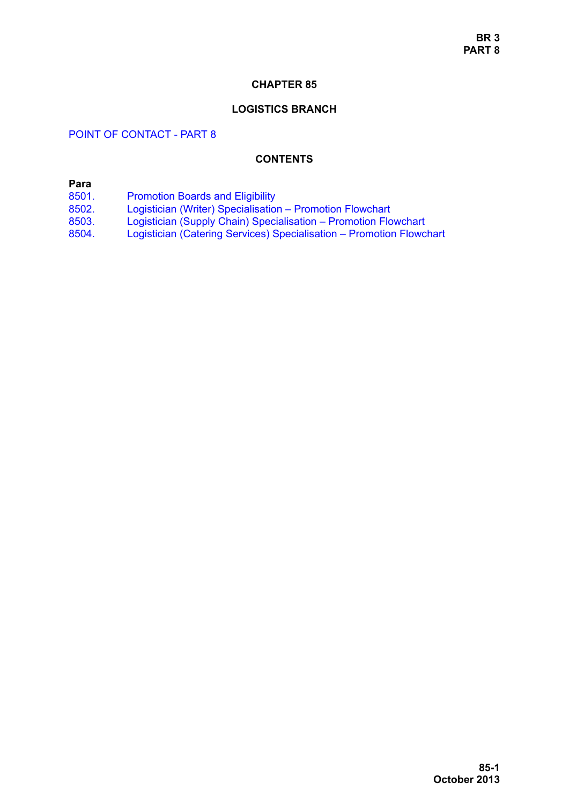#### **CHAPTER 85**

#### **LOGISTICS BRANCH**

# POINT OF CONTACT - PART 8

### **CONTENTS**

# **Para**

- [8501. Promotion Boards and Eligibility](#page-1-0)
- [8502. Logistician \(Writer\) Specialisation Promotion Flowchart](#page-1-1)
- [8503. Logistician \(Supply Chain\) Specialisation Promotion Flowchart](#page-4-0)
- [8504. Logistician \(Catering Services\) Specialisation Promotion Flowchart](#page-7-0)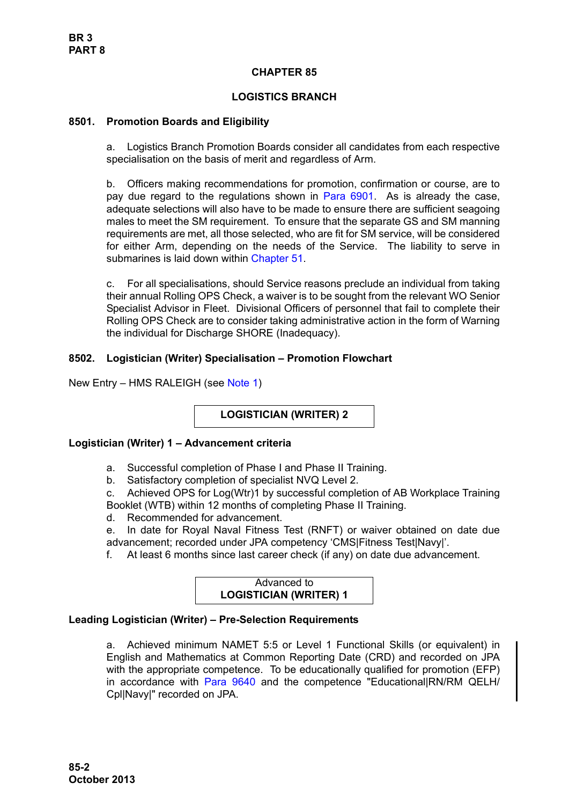# **CHAPTER 85**

# **LOGISTICS BRANCH**

## <span id="page-1-1"></span><span id="page-1-0"></span>**8501. Promotion Boards and Eligibility**

a. Logistics Branch Promotion Boards consider all candidates from each respective specialisation on the basis of merit and regardless of Arm.

b. Officers making recommendations for promotion, confirmation or course, are to pay due regard to the regulations shown in Para 6901. As is already the case, adequate selections will also have to be made to ensure there are sufficient seagoing males to meet the SM requirement. To ensure that the separate GS and SM manning requirements are met, all those selected, who are fit for SM service, will be considered for either Arm, depending on the needs of the Service. The liability to serve in submarines is laid down within Chapter 51.

c. For all specialisations, should Service reasons preclude an individual from taking their annual Rolling OPS Check, a waiver is to be sought from the relevant WO Senior Specialist Advisor in Fleet. Divisional Officers of personnel that fail to complete their Rolling OPS Check are to consider taking administrative action in the form of Warning the individual for Discharge SHORE (Inadequacy).

# **8502. Logistician (Writer) Specialisation – Promotion Flowchart**

New Entry – HMS RALEIGH (see [Note 1](#page-3-0))

**LOGISTICIAN (WRITER) 2**

### **Logistician (Writer) 1 – Advancement criteria**

- a. Successful completion of Phase I and Phase II Training.
- b. Satisfactory completion of specialist NVQ Level 2.

c. Achieved OPS for Log(Wtr)1 by successful completion of AB Workplace Training Booklet (WTB) within 12 months of completing Phase II Training.

d. Recommended for advancement.

e. In date for Royal Naval Fitness Test (RNFT) or waiver obtained on date due advancement; recorded under JPA competency 'CMS|Fitness Test|Navy|'.

f. At least 6 months since last career check (if any) on date due advancement.

Advanced to **LOGISTICIAN (WRITER) 1**

# **Leading Logistician (Writer) – Pre-Selection Requirements**

a. Achieved minimum NAMET 5:5 or Level 1 Functional Skills (or equivalent) in English and Mathematics at Common Reporting Date (CRD) and recorded on JPA with the appropriate competence. To be educationally qualified for promotion (EFP) in accordance with [Para 9640](#page-34-0) and the competence "Educational|RN/RM QELH/ Cpl|Navy|" recorded on JPA.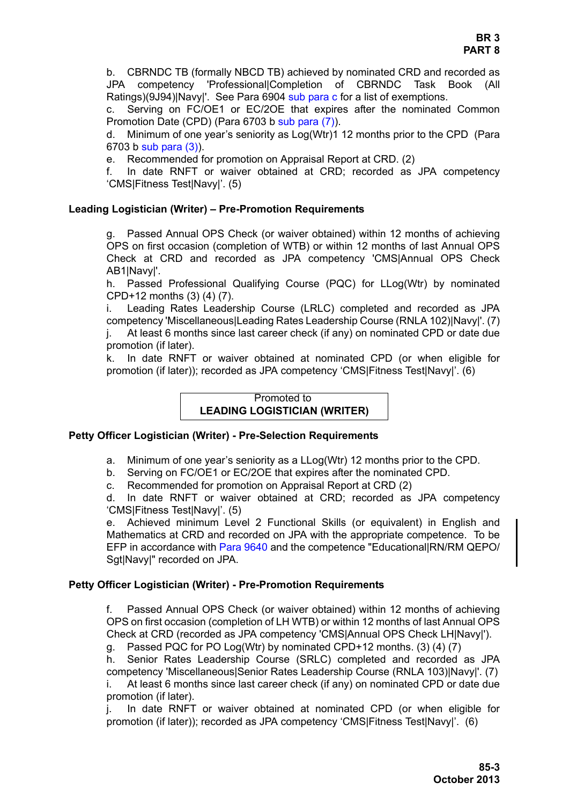b. CBRNDC TB (formally NBCD TB) achieved by nominated CRD and recorded as JPA competency 'Professional|Completion of CBRNDC Task Book (All Ratings)(9J94)|Navy|'. See Para 6904 sub para c for a list of exemptions.

c. Serving on FC/OE1 or EC/2OE that expires after the nominated Common Promotion Date (CPD) (Para 6703 b sub para (7)).

d. Minimum of one year's seniority as Log(Wtr)1 12 months prior to the CPD (Para 6703 b sub para (3)).

e. Recommended for promotion on Appraisal Report at CRD. (2)

f. In date RNFT or waiver obtained at CRD; recorded as JPA competency 'CMS|Fitness Test|Navy|'. (5)

## **Leading Logistician (Writer) – Pre-Promotion Requirements**

g. Passed Annual OPS Check (or waiver obtained) within 12 months of achieving OPS on first occasion (completion of WTB) or within 12 months of last Annual OPS Check at CRD and recorded as JPA competency 'CMS|Annual OPS Check AB1INavvl'.

h. Passed Professional Qualifying Course (PQC) for LLog(Wtr) by nominated CPD+12 months (3) (4) (7).

i. Leading Rates Leadership Course (LRLC) completed and recorded as JPA competency 'Miscellaneous|Leading Rates Leadership Course (RNLA 102)|Navy|'. (7) j. At least 6 months since last career check (if any) on nominated CPD or date due promotion (if later).

k. In date RNFT or waiver obtained at nominated CPD (or when eligible for promotion (if later)); recorded as JPA competency 'CMS|Fitness Test|Navy|'. (6)

#### Promoted to **LEADING LOGISTICIAN (WRITER)**

### **Petty Officer Logistician (Writer) - Pre-Selection Requirements**

- a. Minimum of one year's seniority as a LLog(Wtr) 12 months prior to the CPD.
- b. Serving on FC/OE1 or EC/2OE that expires after the nominated CPD.

c. Recommended for promotion on Appraisal Report at CRD (2)

d. In date RNFT or waiver obtained at CRD; recorded as JPA competency 'CMS|Fitness Test|Navy|'. (5)

e. Achieved minimum Level 2 Functional Skills (or equivalent) in English and Mathematics at CRD and recorded on JPA with the appropriate competence. To be EFP in accordance with [Para 9640](#page-34-0) and the competence "Educational|RN/RM QEPO/ Sgt|Navy|" recorded on JPA.

### **Petty Officer Logistician (Writer) - Pre-Promotion Requirements**

f. Passed Annual OPS Check (or waiver obtained) within 12 months of achieving OPS on first occasion (completion of LH WTB) or within 12 months of last Annual OPS Check at CRD (recorded as JPA competency 'CMS|Annual OPS Check LH|Navy|').

g. Passed PQC for PO Log(Wtr) by nominated CPD+12 months. (3) (4) (7)

h. Senior Rates Leadership Course (SRLC) completed and recorded as JPA competency 'Miscellaneous|Senior Rates Leadership Course (RNLA 103)|Navy|'. (7) i. At least 6 months since last career check (if any) on nominated CPD or date due promotion (if later).

j. In date RNFT or waiver obtained at nominated CPD (or when eligible for promotion (if later)); recorded as JPA competency 'CMS|Fitness Test|Navy|'. (6)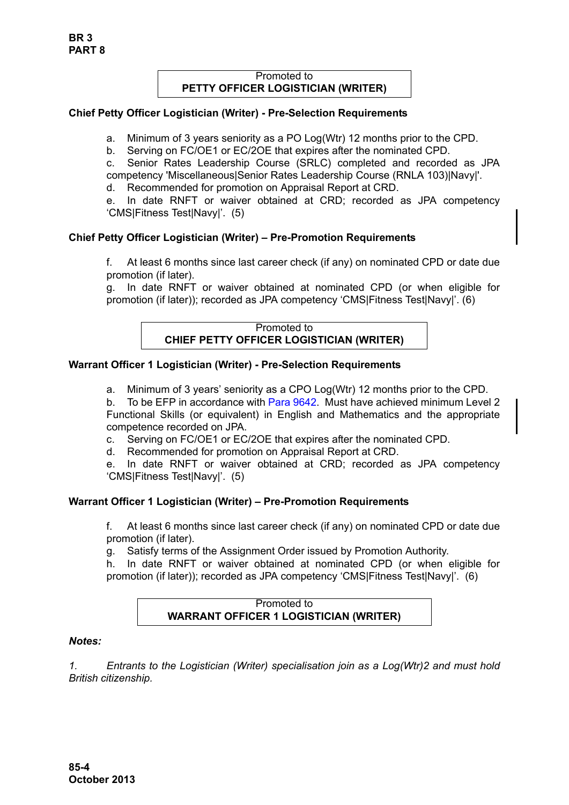## Promoted to **PETTY OFFICER LOGISTICIAN (WRITER)**

# **Chief Petty Officer Logistician (Writer) - Pre-Selection Requirements**

a. Minimum of 3 years seniority as a PO Log(Wtr) 12 months prior to the CPD.

b. Serving on FC/OE1 or EC/2OE that expires after the nominated CPD.

c. Senior Rates Leadership Course (SRLC) completed and recorded as JPA competency 'Miscellaneous|Senior Rates Leadership Course (RNLA 103)|Navy|'.

d. Recommended for promotion on Appraisal Report at CRD.

e. In date RNFT or waiver obtained at CRD; recorded as JPA competency 'CMS|Fitness Test|Navy|'. (5)

# **Chief Petty Officer Logistician (Writer) – Pre-Promotion Requirements**

f. At least 6 months since last career check (if any) on nominated CPD or date due promotion (if later).

g. In date RNFT or waiver obtained at nominated CPD (or when eligible for promotion (if later)); recorded as JPA competency 'CMS|Fitness Test|Navy|'. (6)

## Promoted to **CHIEF PETTY OFFICER LOGISTICIAN (WRITER)**

# **Warrant Officer 1 Logistician (Writer) - Pre-Selection Requirements**

a. Minimum of 3 years' seniority as a CPO Log(Wtr) 12 months prior to the CPD.

b. To be EFP in accordance with [Para 9642.](#page-35-0) Must have achieved minimum Level 2 Functional Skills (or equivalent) in English and Mathematics and the appropriate competence recorded on JPA.

- c. Serving on FC/OE1 or EC/2OE that expires after the nominated CPD.
- d. Recommended for promotion on Appraisal Report at CRD.
- e. In date RNFT or waiver obtained at CRD; recorded as JPA competency 'CMS|Fitness Test|Navy|'. (5)

# **Warrant Officer 1 Logistician (Writer) – Pre-Promotion Requirements**

f. At least 6 months since last career check (if any) on nominated CPD or date due promotion (if later).

g. Satisfy terms of the Assignment Order issued by Promotion Authority.

h. In date RNFT or waiver obtained at nominated CPD (or when eligible for promotion (if later)); recorded as JPA competency 'CMS|Fitness Test|Navy|'. (6)

### Promoted to **WARRANT OFFICER 1 LOGISTICIAN (WRITER)**

# *Notes:*

<span id="page-3-0"></span>*1. Entrants to the Logistician (Writer) specialisation join as a Log(Wtr)2 and must hold British citizenship.*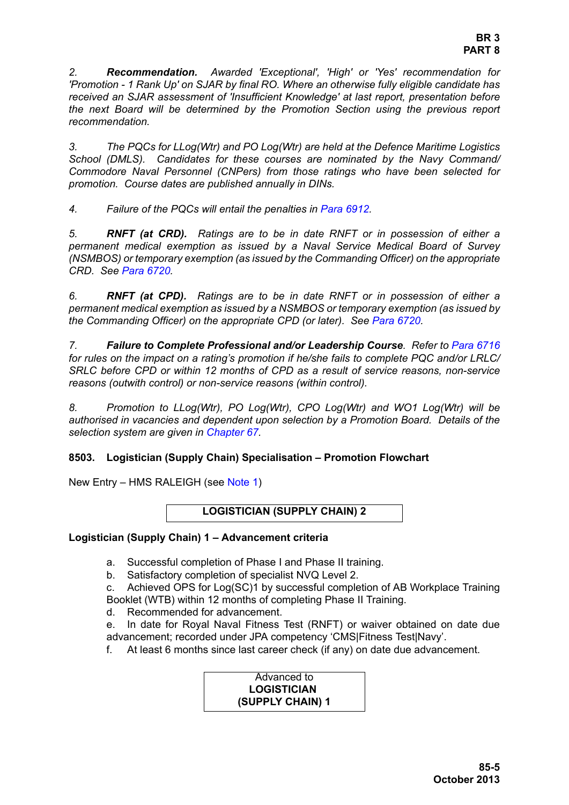*2. Recommendation. Awarded 'Exceptional', 'High' or 'Yes' recommendation for 'Promotion - 1 Rank Up' on SJAR by final RO. Where an otherwise fully eligible candidate has received an SJAR assessment of 'Insufficient Knowledge' at last report, presentation before the next Board will be determined by the Promotion Section using the previous report recommendation.* 

*3. The PQCs for LLog(Wtr) and PO Log(Wtr) are held at the Defence Maritime Logistics School (DMLS). Candidates for these courses are nominated by the Navy Command/ Commodore Naval Personnel (CNPers) from those ratings who have been selected for promotion. Course dates are published annually in DINs.*

*4. Failure of the PQCs will entail the penalties in Para 6912.*

*5. RNFT (at CRD). Ratings are to be in date RNFT or in possession of either a permanent medical exemption as issued by a Naval Service Medical Board of Survey (NSMBOS) or temporary exemption (as issued by the Commanding Officer) on the appropriate CRD. See Para 6720.*

*6. RNFT (at CPD). Ratings are to be in date RNFT or in possession of either a permanent medical exemption as issued by a NSMBOS or temporary exemption (as issued by the Commanding Officer) on the appropriate CPD (or later). See Para 6720.*

*7. Failure to Complete Professional and/or Leadership Course. Refer to Para 6716 for rules on the impact on a rating's promotion if he/she fails to complete PQC and/or LRLC/ SRLC before CPD or within 12 months of CPD as a result of service reasons, non-service reasons (outwith control) or non-service reasons (within control).*

*8. Promotion to LLog(Wtr), PO Log(Wtr), CPO Log(Wtr) and WO1 Log(Wtr) will be authorised in vacancies and dependent upon selection by a Promotion Board. Details of the selection system are given in Chapter 67.*

# <span id="page-4-0"></span>**8503. Logistician (Supply Chain) Specialisation – Promotion Flowchart**

New Entry – HMS RALEIGH (see [Note 1](#page-6-0))

# **LOGISTICIAN (SUPPLY CHAIN) 2**

### **Logistician (Supply Chain) 1 – Advancement criteria**

- a. Successful completion of Phase I and Phase II training.
- b. Satisfactory completion of specialist NVQ Level 2.

c. Achieved OPS for Log(SC)1 by successful completion of AB Workplace Training Booklet (WTB) within 12 months of completing Phase II Training.

d. Recommended for advancement.

e. In date for Royal Naval Fitness Test (RNFT) or waiver obtained on date due advancement; recorded under JPA competency 'CMS|Fitness Test|Navy'.

f. At least 6 months since last career check (if any) on date due advancement.

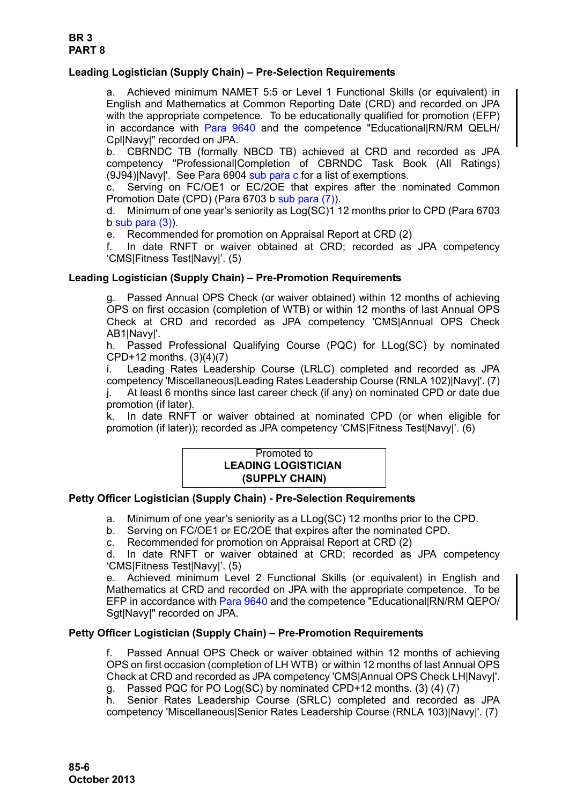# **Leading Logistician (Supply Chain) – Pre-Selection Requirements**

a. Achieved minimum NAMET 5:5 or Level 1 Functional Skills (or equivalent) in English and Mathematics at Common Reporting Date (CRD) and recorded on JPA with the appropriate competence. To be educationally qualified for promotion (EFP) in accordance with [Para 9640](#page-34-0) and the competence "Educational|RN/RM QELH/ Cpl|Navy|" recorded on JPA.

b. CBRNDC TB (formally NBCD TB) achieved at CRD and recorded as JPA competency ''Professional|Completion of CBRNDC Task Book (All Ratings) (9J94)|Navy|'. See Para 6904 sub para c for a list of exemptions.

c. Serving on FC/OE1 or EC/2OE that expires after the nominated Common Promotion Date (CPD) (Para 6703 b sub para (7)).

d. Minimum of one year's seniority as Log(SC)1 12 months prior to CPD (Para 6703  $b$  sub para  $(3)$ ).

e. Recommended for promotion on Appraisal Report at CRD (2)

f. In date RNFT or waiver obtained at CRD; recorded as JPA competency 'CMS|Fitness Test|Navy|'. (5)

### **Leading Logistician (Supply Chain) – Pre-Promotion Requirements**

Passed Annual OPS Check (or waiver obtained) within 12 months of achieving OPS on first occasion (completion of WTB) or within 12 months of last Annual OPS Check at CRD and recorded as JPA competency 'CMS|Annual OPS Check AB1|Navy|'.

h. Passed Professional Qualifying Course (PQC) for LLog(SC) by nominated CPD+12 months. (3)(4)(7)

i. Leading Rates Leadership Course (LRLC) completed and recorded as JPA competency 'Miscellaneous|Leading Rates Leadership Course (RNLA 102)|Navy|'. (7) j. At least 6 months since last career check (if any) on nominated CPD or date due promotion (if later).

k. In date RNFT or waiver obtained at nominated CPD (or when eligible for promotion (if later)); recorded as JPA competency 'CMS|Fitness Test|Navy|'. (6)

#### Promoted to **LEADING LOGISTICIAN (SUPPLY CHAIN)**

### **Petty Officer Logistician (Supply Chain) - Pre-Selection Requirements**

a. Minimum of one year's seniority as a LLog(SC) 12 months prior to the CPD.

- b. Serving on FC/OE1 or EC/2OE that expires after the nominated CPD.
- c. Recommended for promotion on Appraisal Report at CRD (2)

d. In date RNFT or waiver obtained at CRD; recorded as JPA competency 'CMS|Fitness Test|Navy|'. (5)

e. Achieved minimum Level 2 Functional Skills (or equivalent) in English and Mathematics at CRD and recorded on JPA with the appropriate competence. To be EFP in accordance with [Para 9640](#page-34-0) and the competence "Educational|RN/RM QEPO/ Sgt|Navy|" recorded on JPA.

### **Petty Officer Logistician (Supply Chain) – Pre-Promotion Requirements**

f. Passed Annual OPS Check or waiver obtained within 12 months of achieving OPS on first occasion (completion of LH WTB) or within 12 months of last Annual OPS Check at CRD and recorded as JPA competency 'CMS|Annual OPS Check LH|Navy|'.

g. Passed PQC for PO Log(SC) by nominated CPD+12 months. (3) (4) (7)

h. Senior Rates Leadership Course (SRLC) completed and recorded as JPA competency 'Miscellaneous|Senior Rates Leadership Course (RNLA 103)|Navy|'. (7)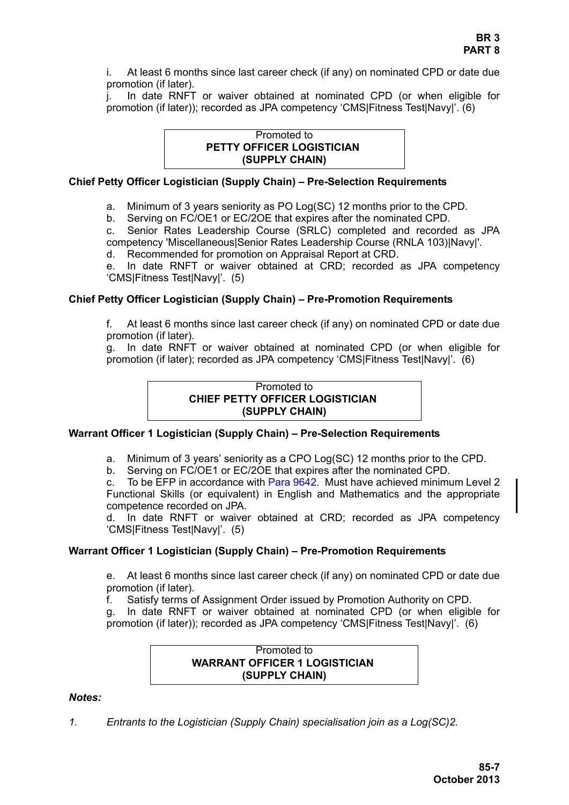i. At least 6 months since last career check (if any) on nominated CPD or date due promotion (if later).

j. In date RNFT or waiver obtained at nominated CPD (or when eligible for promotion (if later)); recorded as JPA competency 'CMS|Fitness Test|Navy|'. (6)

### Promoted to **PETTY OFFICER LOGISTICIAN (SUPPLY CHAIN)**

### **Chief Petty Officer Logistician (Supply Chain) – Pre-Selection Requirements**

a. Minimum of 3 years seniority as PO Log(SC) 12 months prior to the CPD.

b. Serving on FC/OE1 or EC/2OE that expires after the nominated CPD.

c. Senior Rates Leadership Course (SRLC) completed and recorded as JPA competency 'Miscellaneous|Senior Rates Leadership Course (RNLA 103)|Navy|'.

d. Recommended for promotion on Appraisal Report at CRD.

e. In date RNFT or waiver obtained at CRD; recorded as JPA competency 'CMS|Fitness Test|Navy|'. (5)

### **Chief Petty Officer Logistician (Supply Chain) – Pre-Promotion Requirements**

f. At least 6 months since last career check (if any) on nominated CPD or date due promotion (if later).

g. In date RNFT or waiver obtained at nominated CPD (or when eligible for promotion (if later); recorded as JPA competency 'CMS|Fitness Test|Navy|'. (6)

### Promoted to **CHIEF PETTY OFFICER LOGISTICIAN (SUPPLY CHAIN)**

### **Warrant Officer 1 Logistician (Supply Chain) – Pre-Selection Requirements**

a. Minimum of 3 years' seniority as a CPO Log(SC) 12 months prior to the CPD.

b. Serving on FC/OE1 or EC/2OE that expires after the nominated CPD.

c. To be EFP in accordance wit[h Para 9642.](#page-35-0) Must have achieved minimum Level 2 Functional Skills (or equivalent) in English and Mathematics and the appropriate competence recorded on JPA.

d. In date RNFT or waiver obtained at CRD; recorded as JPA competency 'CMS|Fitness Test|Navy|'. (5)

### **Warrant Officer 1 Logistician (Supply Chain) – Pre-Promotion Requirements**

e. At least 6 months since last career check (if any) on nominated CPD or date due promotion (if later).

f. Satisfy terms of Assignment Order issued by Promotion Authority on CPD.

g. In date RNFT or waiver obtained at nominated CPD (or when eligible for promotion (if later)); recorded as JPA competency 'CMS|Fitness Test|Navy|'. (6)

#### Promoted to **WARRANT OFFICER 1 LOGISTICIAN (SUPPLY CHAIN)**

### *Notes:*

<span id="page-6-0"></span>*1. Entrants to the Logistician (Supply Chain) specialisation join as a Log(SC)2.*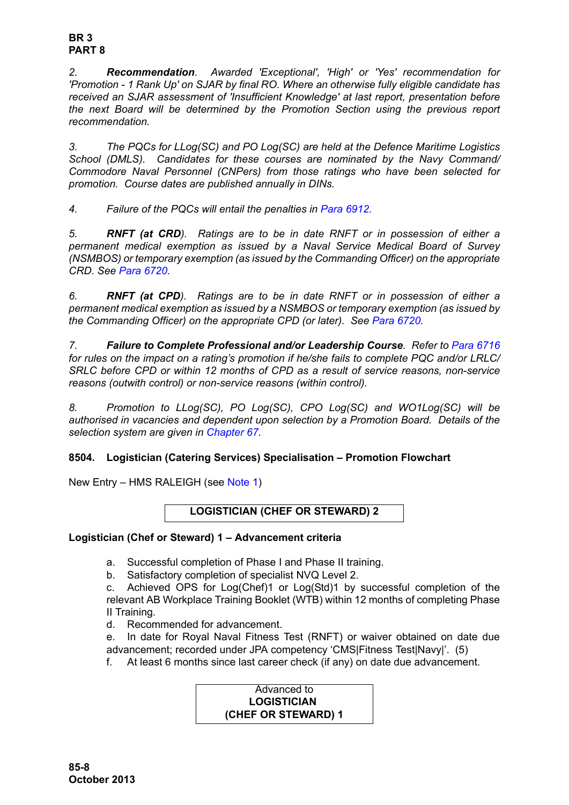*2. Recommendation. Awarded 'Exceptional', 'High' or 'Yes' recommendation for 'Promotion - 1 Rank Up' on SJAR by final RO. Where an otherwise fully eligible candidate has received an SJAR assessment of 'Insufficient Knowledge' at last report, presentation before the next Board will be determined by the Promotion Section using the previous report recommendation.* 

*3. The PQCs for LLog(SC) and PO Log(SC) are held at the Defence Maritime Logistics School (DMLS). Candidates for these courses are nominated by the Navy Command/ Commodore Naval Personnel (CNPers) from those ratings who have been selected for promotion. Course dates are published annually in DINs.*

*4. Failure of the PQCs will entail the penalties in Para 6912.*

*5. RNFT (at CRD). Ratings are to be in date RNFT or in possession of either a permanent medical exemption as issued by a Naval Service Medical Board of Survey (NSMBOS) or temporary exemption (as issued by the Commanding Officer) on the appropriate CRD. See Para 6720.*

*6. RNFT (at CPD). Ratings are to be in date RNFT or in possession of either a permanent medical exemption as issued by a NSMBOS or temporary exemption (as issued by the Commanding Officer) on the appropriate CPD (or later). See Para 6720.*

*7. Failure to Complete Professional and/or Leadership Course. Refer to Para 6716 for rules on the impact on a rating's promotion if he/she fails to complete PQC and/or LRLC/ SRLC before CPD or within 12 months of CPD as a result of service reasons, non-service reasons (outwith control) or non-service reasons (within control).*

*8. Promotion to LLog(SC), PO Log(SC), CPO Log(SC) and WO1Log(SC) will be authorised in vacancies and dependent upon selection by a Promotion Board. Details of the selection system are given in Chapter 67.*

# <span id="page-7-0"></span>**8504. Logistician (Catering Services) Specialisation – Promotion Flowchart**

New Entry – HMS RALEIGH (see [Note 1](#page-10-0))

**LOGISTICIAN (CHEF OR STEWARD) 2**

# **Logistician (Chef or Steward) 1 – Advancement criteria**

- a. Successful completion of Phase I and Phase II training.
- b. Satisfactory completion of specialist NVQ Level 2.

c. Achieved OPS for Log(Chef)1 or Log(Std)1 by successful completion of the relevant AB Workplace Training Booklet (WTB) within 12 months of completing Phase II Training.

- d. Recommended for advancement.
- e. In date for Royal Naval Fitness Test (RNFT) or waiver obtained on date due advancement; recorded under JPA competency 'CMS|Fitness Test|Navy|'. (5)
- f. At least 6 months since last career check (if any) on date due advancement.

Advanced to **LOGISTICIAN (CHEF OR STEWARD) 1**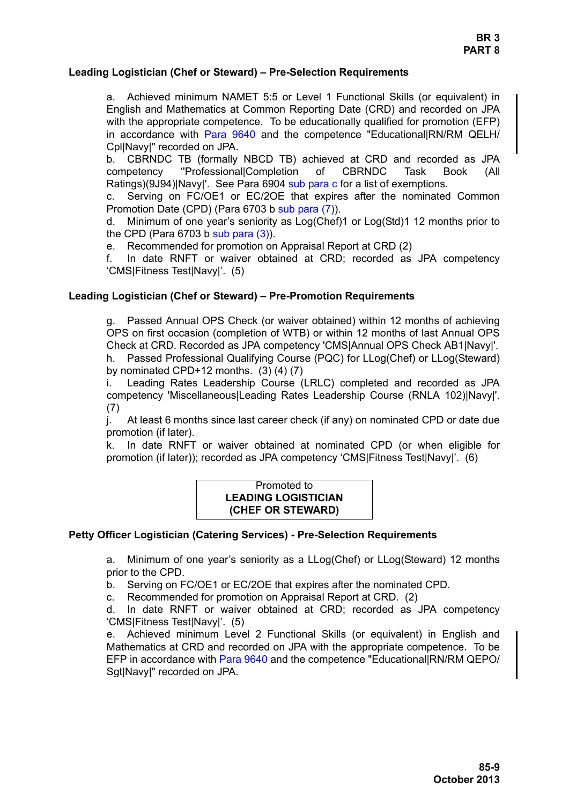## **Leading Logistician (Chef or Steward) – Pre-Selection Requirements**

a. Achieved minimum NAMET 5:5 or Level 1 Functional Skills (or equivalent) in English and Mathematics at Common Reporting Date (CRD) and recorded on JPA with the appropriate competence. To be educationally qualified for promotion (EFP) in accordance with [Para 9640](#page-34-0) and the competence "Educational|RN/RM QELH/ Cpl|Navy|" recorded on JPA.

b. CBRNDC TB (formally NBCD TB) achieved at CRD and recorded as JPA competency ''Professional|Completion of CBRNDC Task Book (All Ratings)(9J94)|Navy|'. See Para 6904 sub para c for a list of exemptions.

c. Serving on FC/OE1 or EC/2OE that expires after the nominated Common Promotion Date (CPD) (Para 6703 b sub para (7)).

d. Minimum of one year's seniority as Log(Chef)1 or Log(Std)1 12 months prior to the CPD (Para 6703 b sub para (3)).

e. Recommended for promotion on Appraisal Report at CRD (2)

f. In date RNFT or waiver obtained at CRD; recorded as JPA competency 'CMS|Fitness Test|Navy|'. (5)

## **Leading Logistician (Chef or Steward) – Pre-Promotion Requirements**

g. Passed Annual OPS Check (or waiver obtained) within 12 months of achieving OPS on first occasion (completion of WTB) or within 12 months of last Annual OPS Check at CRD. Recorded as JPA competency 'CMS|Annual OPS Check AB1|Navy|'. h. Passed Professional Qualifying Course (PQC) for LLog(Chef) or LLog(Steward)

by nominated CPD+12 months.  $(3)$   $(4)$   $(7)$ 

i. Leading Rates Leadership Course (LRLC) completed and recorded as JPA competency 'Miscellaneous|Leading Rates Leadership Course (RNLA 102)|Navy|'. (7)

j. At least 6 months since last career check (if any) on nominated CPD or date due promotion (if later).

k. In date RNFT or waiver obtained at nominated CPD (or when eligible for promotion (if later)); recorded as JPA competency 'CMS|Fitness Test|Navy|'. (6)

### Promoted to **LEADING LOGISTICIAN (CHEF OR STEWARD)**

### **Petty Officer Logistician (Catering Services) - Pre-Selection Requirements**

a. Minimum of one year's seniority as a LLog(Chef) or LLog(Steward) 12 months prior to the CPD.

b. Serving on FC/OE1 or EC/2OE that expires after the nominated CPD.

c. Recommended for promotion on Appraisal Report at CRD. (2)

d. In date RNFT or waiver obtained at CRD; recorded as JPA competency 'CMS|Fitness Test|Navy|'. (5)

e. Achieved minimum Level 2 Functional Skills (or equivalent) in English and Mathematics at CRD and recorded on JPA with the appropriate competence. To be EFP in accordance with [Para 9640](#page-34-0) and the competence "Educational|RN/RM QEPO/ Sgt|Navy|" recorded on JPA.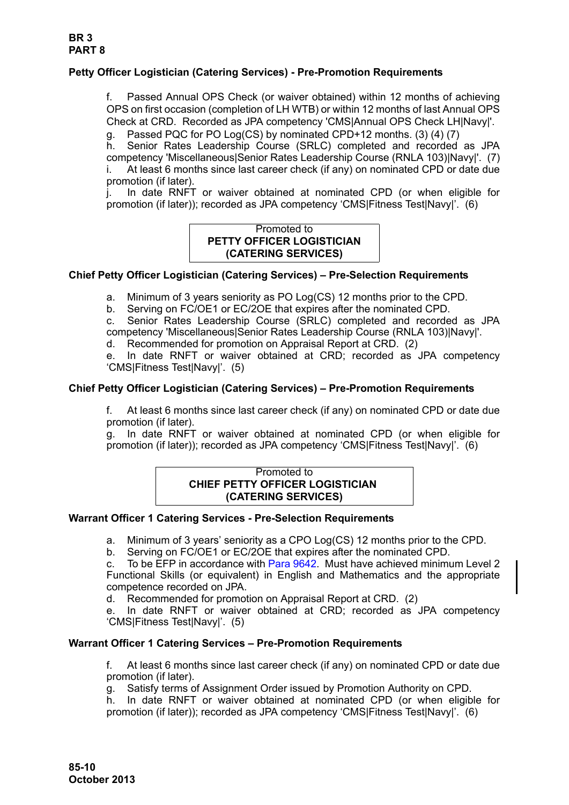# **Petty Officer Logistician (Catering Services) - Pre-Promotion Requirements**

f. Passed Annual OPS Check (or waiver obtained) within 12 months of achieving OPS on first occasion (completion of LH WTB) or within 12 months of last Annual OPS Check at CRD. Recorded as JPA competency 'CMS|Annual OPS Check LH|Navy|'.

g. Passed PQC for PO Log(CS) by nominated CPD+12 months. (3) (4) (7) h. Senior Rates Leadership Course (SRLC) completed and recorded as JPA competency 'Miscellaneous|Senior Rates Leadership Course (RNLA 103)|Navy|'. (7) i. At least 6 months since last career check (if any) on nominated CPD or date due promotion (if later).

j. In date RNFT or waiver obtained at nominated CPD (or when eligible for promotion (if later)); recorded as JPA competency 'CMS|Fitness Test|Navy|'. (6)

## Promoted to **PETTY OFFICER LOGISTICIAN (CATERING SERVICES)**

# **Chief Petty Officer Logistician (Catering Services) – Pre-Selection Requirements**

a. Minimum of 3 years seniority as PO Log(CS) 12 months prior to the CPD.

b. Serving on FC/OE1 or EC/2OE that expires after the nominated CPD.

c. Senior Rates Leadership Course (SRLC) completed and recorded as JPA competency 'Miscellaneous|Senior Rates Leadership Course (RNLA 103)|Navy|'.

d. Recommended for promotion on Appraisal Report at CRD. (2)

e. In date RNFT or waiver obtained at CRD; recorded as JPA competency 'CMS|Fitness Test|Navy|'. (5)

### **Chief Petty Officer Logistician (Catering Services) – Pre-Promotion Requirements**

f. At least 6 months since last career check (if any) on nominated CPD or date due promotion (if later).

g. In date RNFT or waiver obtained at nominated CPD (or when eligible for promotion (if later)); recorded as JPA competency 'CMS|Fitness Test|Navy|'. (6)

#### Promoted to **CHIEF PETTY OFFICER LOGISTICIAN (CATERING SERVICES)**

### **Warrant Officer 1 Catering Services - Pre-Selection Requirements**

a. Minimum of 3 years' seniority as a CPO Log(CS) 12 months prior to the CPD.

b. Serving on FC/OE1 or EC/2OE that expires after the nominated CPD.

c. To be EFP in accordance with [Para 9642.](#page-35-0) Must have achieved minimum Level 2 Functional Skills (or equivalent) in English and Mathematics and the appropriate competence recorded on JPA.

d. Recommended for promotion on Appraisal Report at CRD. (2)

e. In date RNFT or waiver obtained at CRD; recorded as JPA competency 'CMS|Fitness Test|Navy|'. (5)

### **Warrant Officer 1 Catering Services – Pre-Promotion Requirements**

f. At least 6 months since last career check (if any) on nominated CPD or date due promotion (if later).

g. Satisfy terms of Assignment Order issued by Promotion Authority on CPD.

h. In date RNFT or waiver obtained at nominated CPD (or when eligible for promotion (if later)); recorded as JPA competency 'CMS|Fitness Test|Navy|'. (6)